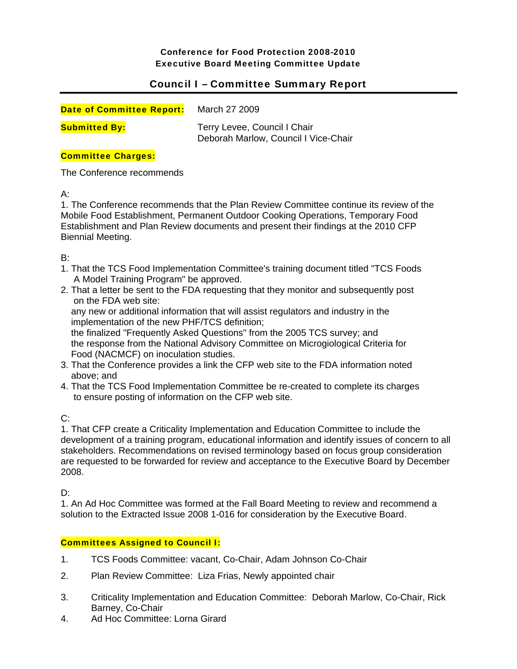Conference for Food Protection 2008-2010 Executive Board Meeting Committee Update

# Council I – Committee Summary Report

| <b>Date of Committee Report:</b> | March 27 2009                                                        |
|----------------------------------|----------------------------------------------------------------------|
| <b>Submitted By:</b>             | Terry Levee, Council I Chair<br>Deborah Marlow, Council I Vice-Chair |

## Committee Charges:

The Conference recommends

A:

1. The Conference recommends that the Plan Review Committee continue its review of the Mobile Food Establishment, Permanent Outdoor Cooking Operations, Temporary Food Establishment and Plan Review documents and present their findings at the 2010 CFP Biennial Meeting.

B:

- 1. That the TCS Food Implementation Committee's training document titled "TCS Foods A Model Training Program" be approved.
- 2. That a letter be sent to the FDA requesting that they monitor and subsequently post on the FDA web site:

 any new or additional information that will assist regulators and industry in the implementation of the new PHF/TCS definition;

 the finalized "Frequently Asked Questions" from the 2005 TCS survey; and the response from the National Advisory Committee on Microgiological Criteria for Food (NACMCF) on inoculation studies.

- 3. That the Conference provides a link the CFP web site to the FDA information noted above; and
- 4. That the TCS Food Implementation Committee be re-created to complete its charges to ensure posting of information on the CFP web site.

 $C^{\perp}$ 

1. That CFP create a Criticality Implementation and Education Committee to include the development of a training program, educational information and identify issues of concern to all stakeholders. Recommendations on revised terminology based on focus group consideration are requested to be forwarded for review and acceptance to the Executive Board by December 2008.

D:

1. An Ad Hoc Committee was formed at the Fall Board Meeting to review and recommend a solution to the Extracted Issue 2008 1-016 for consideration by the Executive Board.

## Committees Assigned to Council I:

- 1. TCS Foods Committee: vacant, Co-Chair, Adam Johnson Co-Chair
- 2. Plan Review Committee: Liza Frias, Newly appointed chair
- 3. Criticality Implementation and Education Committee: Deborah Marlow, Co-Chair, Rick Barney, Co-Chair
- 4. Ad Hoc Committee: Lorna Girard